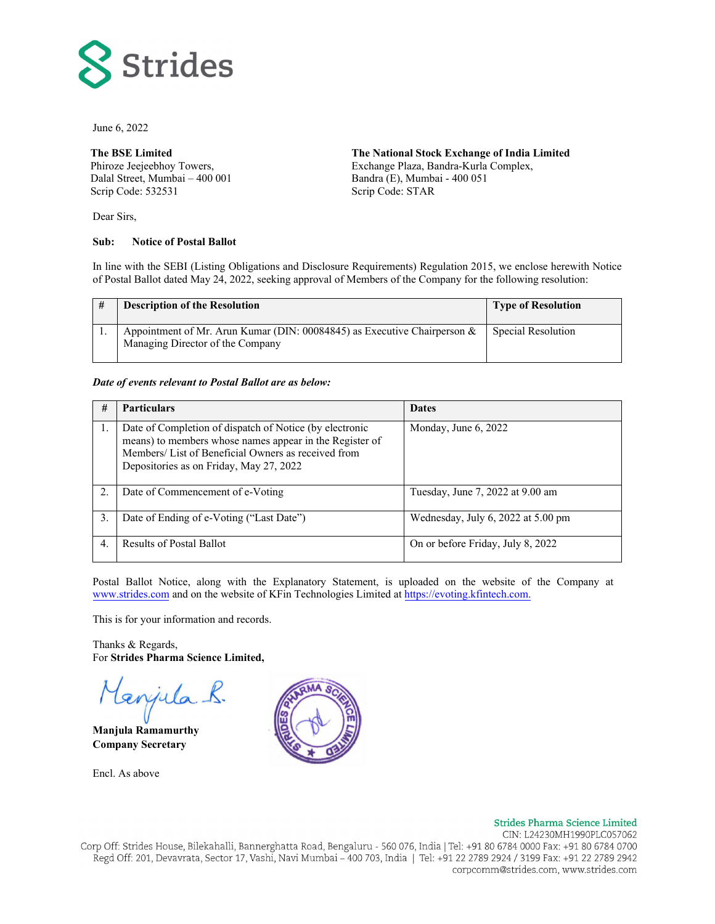

June 6, 2022

#### **The BSE Limited**

Phiroze Jeejeebhoy Towers, Dalal Street, Mumbai – 400 001 Scrip Code: 532531

Dear Sirs,

#### **Sub: Notice of Postal Ballot**

**The National Stock Exchange of India Limited**  Exchange Plaza, Bandra-Kurla Complex, Bandra (E), Mumbai - 400 051 Scrip Code: STAR

In line with the SEBI (Listing Obligations and Disclosure Requirements) Regulation 2015, we enclose herewith Notice of Postal Ballot dated May 24, 2022, seeking approval of Members of the Company for the following resolution:

|  | <b>Description of the Resolution</b>                                                                            | <b>Type of Resolution</b> |
|--|-----------------------------------------------------------------------------------------------------------------|---------------------------|
|  | Appointment of Mr. Arun Kumar (DIN: 00084845) as Executive Chairperson $\&$<br>Managing Director of the Company | Special Resolution        |

#### *Date of events relevant to Postal Ballot are as below:*

| #  | <b>Particulars</b>                                                                                                                                                                                                   | <b>Dates</b>                       |
|----|----------------------------------------------------------------------------------------------------------------------------------------------------------------------------------------------------------------------|------------------------------------|
|    | Date of Completion of dispatch of Notice (by electronic<br>means) to members whose names appear in the Register of<br>Members/ List of Beneficial Owners as received from<br>Depositories as on Friday, May 27, 2022 | Monday, June 6, 2022               |
| 2. | Date of Commencement of e-Voting                                                                                                                                                                                     | Tuesday, June 7, 2022 at 9.00 am   |
| 3. | Date of Ending of e-Voting ("Last Date")                                                                                                                                                                             | Wednesday, July 6, 2022 at 5.00 pm |
| 4. | <b>Results of Postal Ballot</b>                                                                                                                                                                                      | On or before Friday, July 8, 2022  |

Postal Ballot Notice, along with the Explanatory Statement, is uploaded on the website of the Company at www.strides.com and on the website of KFin Technologies Limited at https://evoting.kfintech.com.

This is for your information and records.

Thanks & Regards, For **Strides Pharma Science Limited,**

enjula.

**Manjula Ramamurthy Company Secretary** 

Encl. As above



#### **Strides Pharma Science Limited**

CIN: L24230MH1990PLC057062 Corp Off: Strides House, Bilekahalli, Bannerghatta Road, Bengaluru - 560 076, India | Tel: +91 80 6784 0000 Fax: +91 80 6784 0700 Regd Off: 201, Devavrata, Sector 17, Vashi, Navi Mumbai – 400 703, India | Tel: +91 22 2789 2924 / 3199 Fax: +91 22 2789 2942 corpcomm@strides.com, www.strides.com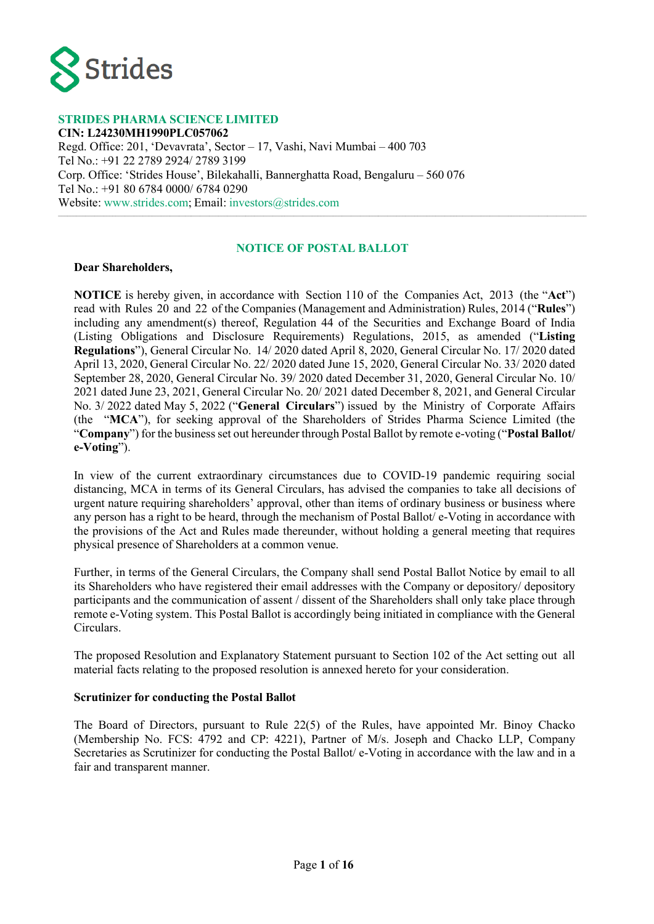

#### **STRIDES PHARMA SCIENCE LIMITED**

**CIN: L24230MH1990PLC057062** Regd. Office: 201, 'Devavrata', Sector – 17, Vashi, Navi Mumbai – 400 703 Tel No.: +91 22 2789 2924/ 2789 3199 Corp. Office: 'Strides House', Bilekahalli, Bannerghatta Road, Bengaluru – 560 076 Tel No.: +91 80 6784 0000/ 6784 0290 Website: www.strides.com; Email: [investors@strides.com](mailto:investors@strides.com)

## **NOTICE OF POSTAL BALLOT**

\_\_\_\_\_\_\_\_\_\_\_\_\_\_\_\_\_\_\_\_\_\_\_\_\_\_\_\_\_\_\_\_\_\_\_\_\_\_\_\_\_\_\_\_\_\_\_\_\_\_\_\_\_\_\_\_\_\_\_\_\_\_\_\_\_\_\_\_\_\_\_\_\_\_\_\_\_\_\_\_\_\_\_\_\_\_\_\_\_\_\_\_\_\_\_\_\_\_\_\_\_\_\_\_\_\_\_\_\_\_\_\_\_\_\_\_\_\_\_\_\_\_\_\_\_\_\_\_\_\_\_\_\_\_\_\_\_\_\_\_\_\_\_\_\_\_\_\_\_\_\_\_\_\_\_\_\_\_\_\_\_\_\_\_\_\_\_\_\_\_\_\_\_\_\_

#### **Dear Shareholders,**

**NOTICE** is hereby given, in accordance with Section 110 of the Companies Act, 2013 (the "**Act**") read with Rules 20 and 22 of the Companies (Management and Administration) Rules, 2014 ("**Rules**") including any amendment(s) thereof, Regulation 44 of the Securities and Exchange Board of India (Listing Obligations and Disclosure Requirements) Regulations, 2015, as amended ("**Listing Regulations**"), General Circular No. 14/ 2020 dated April 8, 2020, General Circular No. 17/ 2020 dated April 13, 2020, General Circular No. 22/ 2020 dated June 15, 2020, General Circular No. 33/ 2020 dated September 28, 2020, General Circular No. 39/ 2020 dated December 31, 2020, General Circular No. 10/ 2021 dated June 23, 2021, General Circular No. 20/ 2021 dated December 8, 2021, and General Circular No. 3/ 2022 dated May 5, 2022 ("**General Circulars**") issued by the Ministry of Corporate Affairs (the "**MCA**"), for seeking approval of the Shareholders of Strides Pharma Science Limited (the "**Company**") for the business set out hereunder through Postal Ballot by remote e-voting ("**Postal Ballot/ e-Voting**").

In view of the current extraordinary circumstances due to COVID-19 pandemic requiring social distancing, MCA in terms of its General Circulars, has advised the companies to take all decisions of urgent nature requiring shareholders' approval, other than items of ordinary business or business where any person has a right to be heard, through the mechanism of Postal Ballot/ e-Voting in accordance with the provisions of the Act and Rules made thereunder, without holding a general meeting that requires physical presence of Shareholders at a common venue.

Further, in terms of the General Circulars, the Company shall send Postal Ballot Notice by email to all its Shareholders who have registered their email addresses with the Company or depository/ depository participants and the communication of assent / dissent of the Shareholders shall only take place through remote e-Voting system. This Postal Ballot is accordingly being initiated in compliance with the General Circulars.

The proposed Resolution and Explanatory Statement pursuant to Section 102 of the Act setting out all material facts relating to the proposed resolution is annexed hereto for your consideration.

#### **Scrutinizer for conducting the Postal Ballot**

The Board of Directors, pursuant to Rule 22(5) of the Rules, have appointed Mr. Binoy Chacko (Membership No. FCS: 4792 and CP: 4221), Partner of M/s. Joseph and Chacko LLP, Company Secretaries as Scrutinizer for conducting the Postal Ballot/ e-Voting in accordance with the law and in a fair and transparent manner.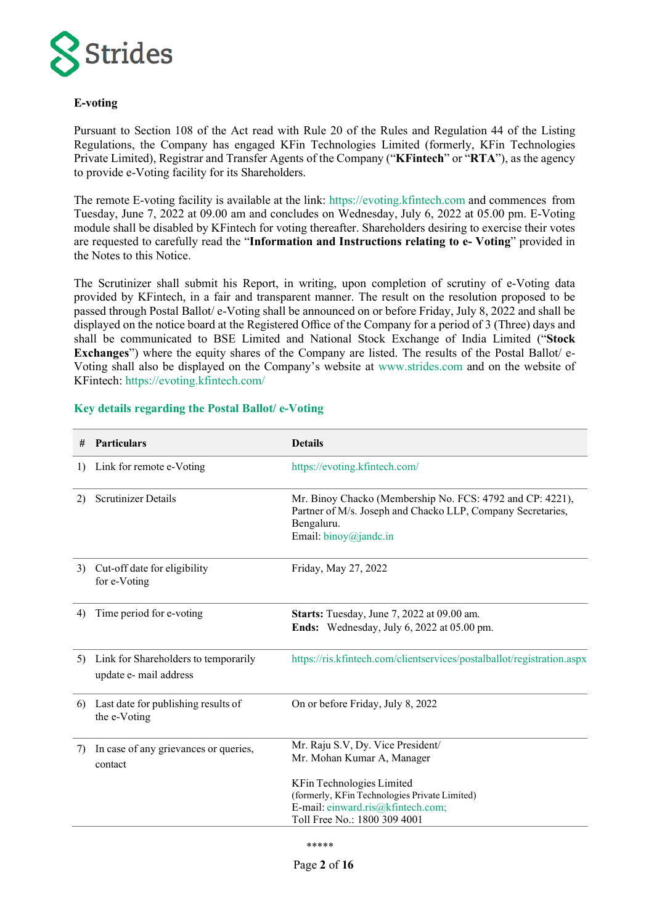

# **E-voting**

Pursuant to Section 108 of the Act read with Rule 20 of the Rules and Regulation 44 of the Listing Regulations, the Company has engaged KFin Technologies Limited (formerly, KFin Technologies Private Limited), Registrar and Transfer Agents of the Company ("**KFintech**" or "**RTA**"), as the agency to provide e-Voting facility for its Shareholders.

The remote E-voting facility is available at the link: [https://evoting.kfintech.com](https://evoting.kfintech.com/) and commences from Tuesday, June 7, 2022 at 09.00 am and concludes on Wednesday, July 6, 2022 at 05.00 pm. E-Voting module shall be disabled by KFintech for voting thereafter. Shareholders desiring to exercise their votes are requested to carefully read the "**Information and Instructions relating to e- Voting**" provided in the Notes to this Notice.

The Scrutinizer shall submit his Report, in writing, upon completion of scrutiny of e-Voting data provided by KFintech, in a fair and transparent manner. The result on the resolution proposed to be passed through Postal Ballot/ e-Voting shall be announced on or before Friday, July 8, 2022 and shall be displayed on the notice board at the Registered Office of the Company for a period of 3 (Three) days and shall be communicated to BSE Limited and National Stock Exchange of India Limited ("**Stock Exchanges**") where the equity shares of the Company are listed. The results of the Postal Ballot/ e-Voting shall also be displayed on the Company's website at [www.strides.com](http://www.strides.com/) and on the website of KFintech:<https://evoting.kfintech.com/>

| #  | <b>Particulars</b>                                             | <b>Details</b>                                                                                                                                                  |
|----|----------------------------------------------------------------|-----------------------------------------------------------------------------------------------------------------------------------------------------------------|
| 1) | Link for remote e-Voting                                       | https://evoting.kfintech.com/                                                                                                                                   |
| 2) | <b>Scrutinizer Details</b>                                     | Mr. Binoy Chacko (Membership No. FCS: 4792 and CP: 4221),<br>Partner of M/s. Joseph and Chacko LLP, Company Secretaries,<br>Bengaluru.<br>Email: binoy@jandc.in |
| 3) | Cut-off date for eligibility<br>for e-Voting                   | Friday, May 27, 2022                                                                                                                                            |
| 4) | Time period for e-voting                                       | Starts: Tuesday, June 7, 2022 at 09.00 am.<br>Ends: Wednesday, July 6, 2022 at 05.00 pm.                                                                        |
| 5) | Link for Shareholders to temporarily<br>update e- mail address | https://ris.kfintech.com/clientservices/postalballot/registration.aspx                                                                                          |
| 6) | Last date for publishing results of<br>the e-Voting            | On or before Friday, July 8, 2022                                                                                                                               |
| 7) | In case of any grievances or queries,<br>contact               | Mr. Raju S.V, Dy. Vice President/<br>Mr. Mohan Kumar A, Manager                                                                                                 |
|    |                                                                | KFin Technologies Limited<br>(formerly, KFin Technologies Private Limited)<br>E-mail: einward.ris@kfintech.com;<br>Toll Free No.: 1800 309 4001                 |

# **Key details regarding the Postal Ballot/ e-Voting**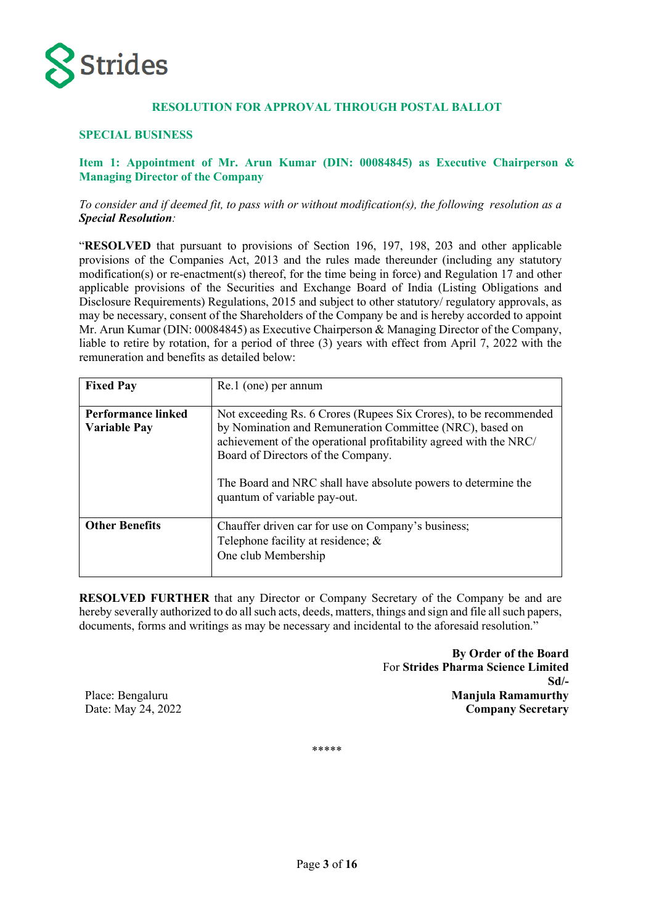

# **RESOLUTION FOR APPROVAL THROUGH POSTAL BALLOT**

#### **SPECIAL BUSINESS**

# **Item 1: Appointment of Mr. Arun Kumar (DIN: 00084845) as Executive Chairperson & Managing Director of the Company**

#### *To consider and if deemed fit, to pass with or without modification(s), the following resolution as a Special Resolution:*

"**RESOLVED** that pursuant to provisions of Section 196, 197, 198, 203 and other applicable provisions of the Companies Act, 2013 and the rules made thereunder (including any statutory modification(s) or re-enactment(s) thereof, for the time being in force) and Regulation 17 and other applicable provisions of the Securities and Exchange Board of India (Listing Obligations and Disclosure Requirements) Regulations, 2015 and subject to other statutory/ regulatory approvals, as may be necessary, consent of the Shareholders of the Company be and is hereby accorded to appoint Mr. Arun Kumar (DIN: 00084845) as Executive Chairperson & Managing Director of the Company, liable to retire by rotation, for a period of three (3) years with effect from April 7, 2022 with the remuneration and benefits as detailed below:

| <b>Fixed Pay</b>                                 | Re.1 (one) per annum                                                                                                                                                                                                                                                                                                                      |  |  |  |
|--------------------------------------------------|-------------------------------------------------------------------------------------------------------------------------------------------------------------------------------------------------------------------------------------------------------------------------------------------------------------------------------------------|--|--|--|
| <b>Performance linked</b><br><b>Variable Pay</b> | Not exceeding Rs. 6 Crores (Rupees Six Crores), to be recommended<br>by Nomination and Remuneration Committee (NRC), based on<br>achievement of the operational profitability agreed with the NRC/<br>Board of Directors of the Company.<br>The Board and NRC shall have absolute powers to determine the<br>quantum of variable pay-out. |  |  |  |
| <b>Other Benefits</b>                            | Chauffer driven car for use on Company's business;<br>Telephone facility at residence; &<br>One club Membership                                                                                                                                                                                                                           |  |  |  |

**RESOLVED FURTHER** that any Director or Company Secretary of the Company be and are hereby severally authorized to do all such acts, deeds, matters, things and sign and file all such papers, documents, forms and writings as may be necessary and incidental to the aforesaid resolution."

> **By Order of the Board** For **Strides Pharma Science Limited Sd/- Manjula Ramamurthy Company Secretary**

Place: Bengaluru Date: May 24, 2022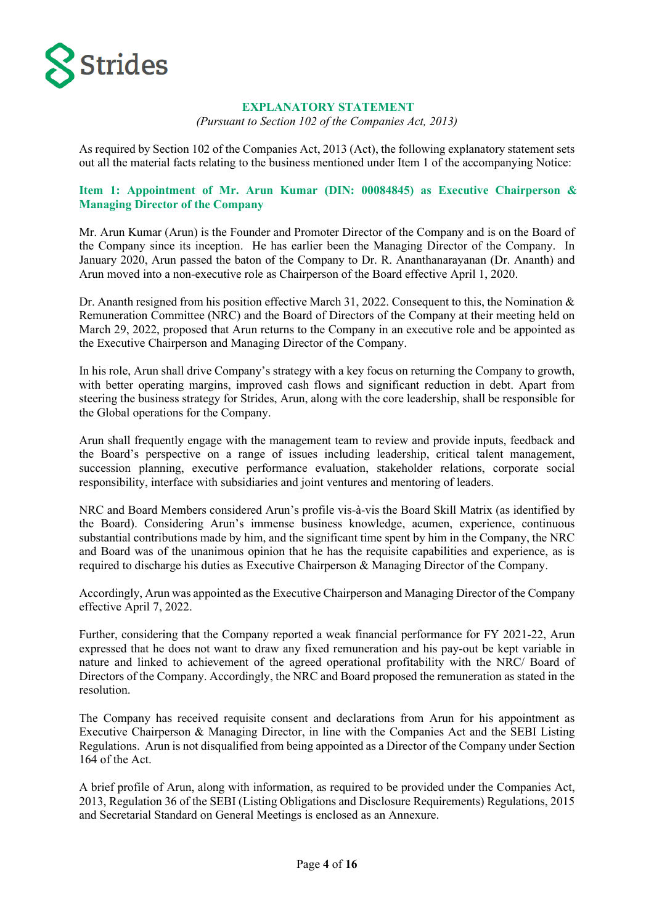

#### **EXPLANATORY STATEMENT**

*(Pursuant to Section 102 of the Companies Act, 2013)*

As required by Section 102 of the Companies Act, 2013 (Act), the following explanatory statement sets out all the material facts relating to the business mentioned under Item 1 of the accompanying Notice:

# **Item 1: Appointment of Mr. Arun Kumar (DIN: 00084845) as Executive Chairperson & Managing Director of the Company**

Mr. Arun Kumar (Arun) is the Founder and Promoter Director of the Company and is on the Board of the Company since its inception. He has earlier been the Managing Director of the Company. In January 2020, Arun passed the baton of the Company to Dr. R. Ananthanarayanan (Dr. Ananth) and Arun moved into a non-executive role as Chairperson of the Board effective April 1, 2020.

Dr. Ananth resigned from his position effective March 31, 2022. Consequent to this, the Nomination & Remuneration Committee (NRC) and the Board of Directors of the Company at their meeting held on March 29, 2022, proposed that Arun returns to the Company in an executive role and be appointed as the Executive Chairperson and Managing Director of the Company.

In his role, Arun shall drive Company's strategy with a key focus on returning the Company to growth, with better operating margins, improved cash flows and significant reduction in debt. Apart from steering the business strategy for Strides, Arun, along with the core leadership, shall be responsible for the Global operations for the Company.

Arun shall frequently engage with the management team to review and provide inputs, feedback and the Board's perspective on a range of issues including leadership, critical talent management, succession planning, executive performance evaluation, stakeholder relations, corporate social responsibility, interface with subsidiaries and joint ventures and mentoring of leaders.

NRC and Board Members considered Arun's profile vis-à-vis the Board Skill Matrix (as identified by the Board). Considering Arun's immense business knowledge, acumen, experience, continuous substantial contributions made by him, and the significant time spent by him in the Company, the NRC and Board was of the unanimous opinion that he has the requisite capabilities and experience, as is required to discharge his duties as Executive Chairperson & Managing Director of the Company.

Accordingly, Arun was appointed as the Executive Chairperson and Managing Director of the Company effective April 7, 2022.

Further, considering that the Company reported a weak financial performance for FY 2021-22, Arun expressed that he does not want to draw any fixed remuneration and his pay-out be kept variable in nature and linked to achievement of the agreed operational profitability with the NRC/ Board of Directors of the Company. Accordingly, the NRC and Board proposed the remuneration as stated in the resolution.

The Company has received requisite consent and declarations from Arun for his appointment as Executive Chairperson & Managing Director, in line with the Companies Act and the SEBI Listing Regulations. Arun is not disqualified from being appointed as a Director of the Company under Section 164 of the Act.

A brief profile of Arun, along with information, as required to be provided under the Companies Act, 2013, Regulation 36 of the SEBI (Listing Obligations and Disclosure Requirements) Regulations, 2015 and Secretarial Standard on General Meetings is enclosed as an Annexure.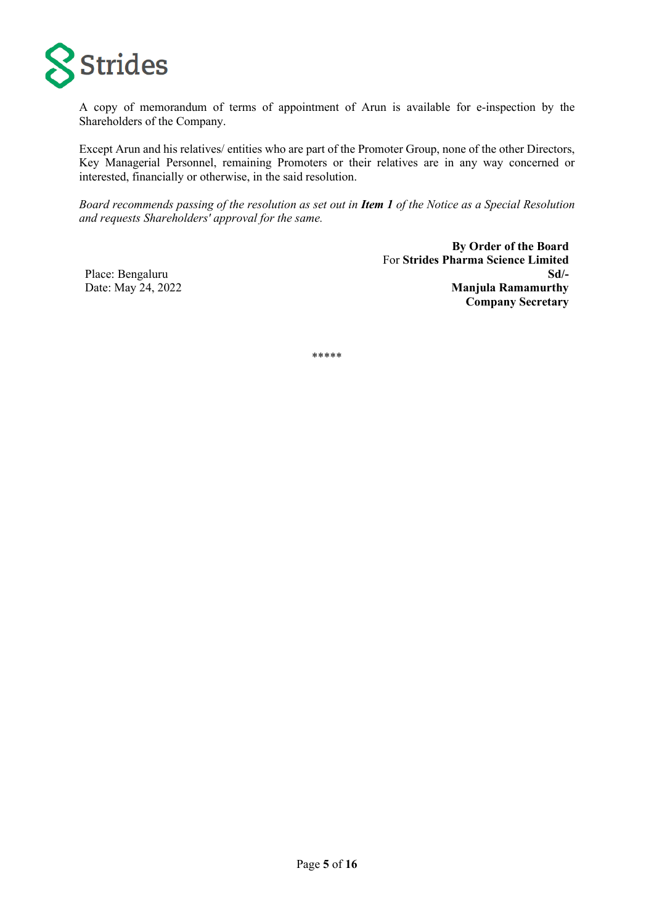

A copy of memorandum of terms of appointment of Arun is available for e-inspection by the Shareholders of the Company.

Except Arun and his relatives/ entities who are part of the Promoter Group, none of the other Directors, Key Managerial Personnel, remaining Promoters or their relatives are in any way concerned or interested, financially or otherwise, in the said resolution.

*Board recommends passing of the resolution as set out in Item 1 of the Notice as a Special Resolution and requests Shareholders' approval for the same.*

Place: Bengaluru Date: May 24, 2022

**By Order of the Board** For **Strides Pharma Science Limited Sd/- Manjula Ramamurthy Company Secretary**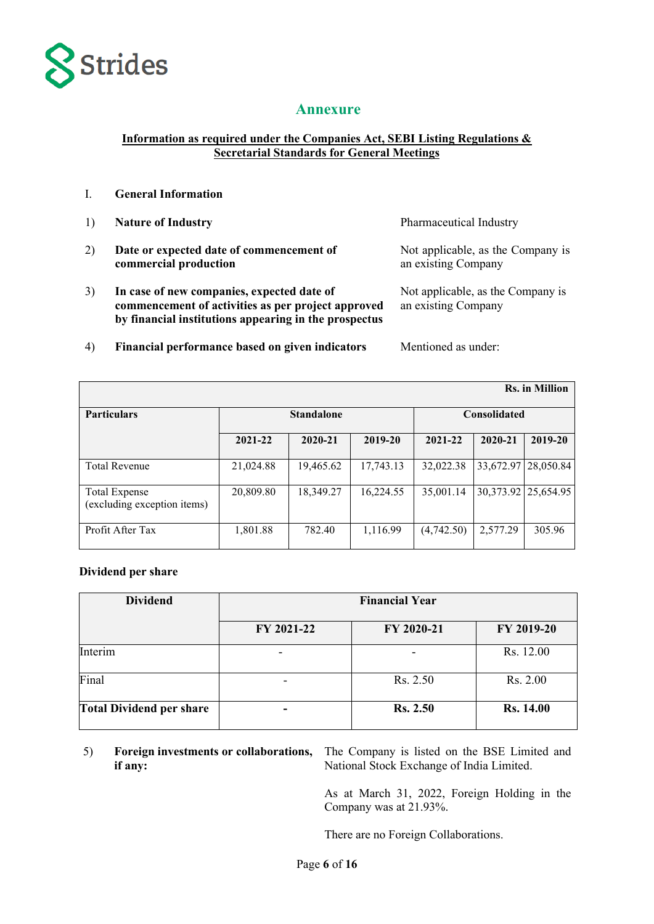

# **Annexure**

# **Information as required under the Companies Act, SEBI Listing Regulations & Secretarial Standards for General Meetings**

- 1) **Nature of Industry** Pharmaceutical Industry
- 2) **Date or expected date of commencement of commercial production**
- 3) **In case of new companies, expected date of commencement of activities as per project approved by financial institutions appearing in the prospectus**

Not applicable, as the Company is an existing Company

Not applicable, as the Company is an existing Company

4) **Financial performance based on given indicators** Mentioned as under:

| <b>Rs.</b> in Million                               |                   |           |                     |            |           |           |
|-----------------------------------------------------|-------------------|-----------|---------------------|------------|-----------|-----------|
| <b>Particulars</b>                                  | <b>Standalone</b> |           | <b>Consolidated</b> |            |           |           |
|                                                     | 2021-22           | 2020-21   | 2019-20             | 2021-22    | 2020-21   | 2019-20   |
| <b>Total Revenue</b>                                | 21,024.88         | 19,465.62 | 17,743.13           | 32,022.38  | 33,672.97 | 28,050.84 |
| <b>Total Expense</b><br>(excluding exception items) | 20,809.80         | 18,349.27 | 16,224.55           | 35,001.14  | 30,373.92 | 25,654.95 |
| Profit After Tax                                    | 1,801.88          | 782.40    | 1,116.99            | (4,742.50) | 2,577.29  | 305.96    |

### **Dividend per share**

| <b>Dividend</b>                 | <b>Financial Year</b> |                 |                  |  |
|---------------------------------|-----------------------|-----------------|------------------|--|
|                                 | FY 2021-22            | FY 2020-21      | FY 2019-20       |  |
| Interim                         |                       |                 | Rs. 12.00        |  |
| Final                           |                       | Rs. 2.50        | Rs. 2.00         |  |
| <b>Total Dividend per share</b> |                       | <b>Rs. 2.50</b> | <b>Rs. 14.00</b> |  |

5) **Foreign investments or collaborations, if any:**

The Company is listed on the BSE Limited and National Stock Exchange of India Limited.

As at March 31, 2022, Foreign Holding in the Company was at 21.93%.

There are no Foreign Collaborations.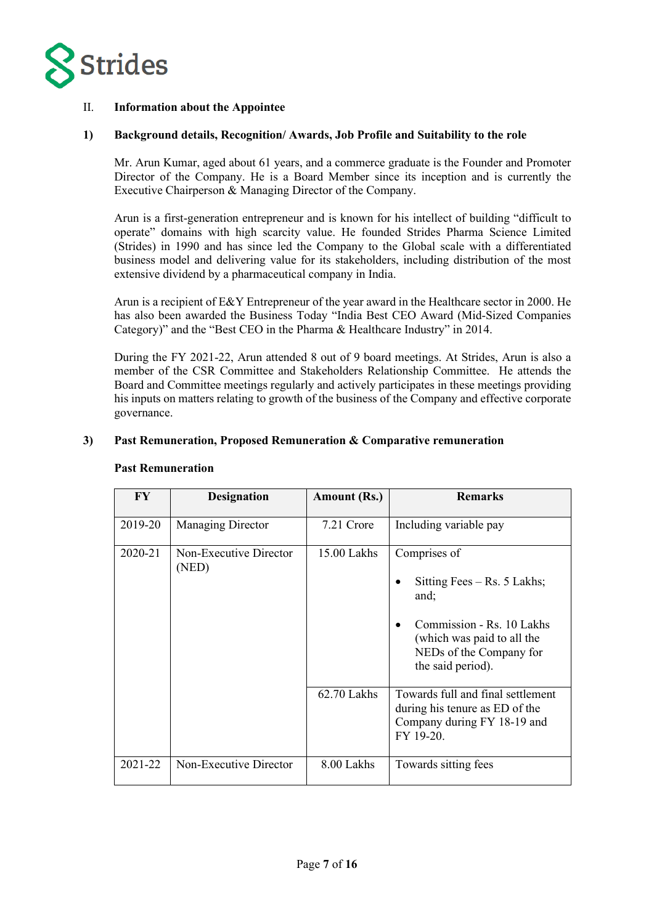

# II. **Information about the Appointee**

### **1) Background details, Recognition/ Awards, Job Profile and Suitability to the role**

Mr. Arun Kumar, aged about 61 years, and a commerce graduate is the Founder and Promoter Director of the Company. He is a Board Member since its inception and is currently the Executive Chairperson & Managing Director of the Company.

Arun is a first-generation entrepreneur and is known for his intellect of building "difficult to operate" domains with high scarcity value. He founded Strides Pharma Science Limited (Strides) in 1990 and has since led the Company to the Global scale with a differentiated business model and delivering value for its stakeholders, including distribution of the most extensive dividend by a pharmaceutical company in India.

Arun is a recipient of E&Y Entrepreneur of the year award in the Healthcare sector in 2000. He has also been awarded the Business Today "India Best CEO Award (Mid-Sized Companies Category)" and the "Best CEO in the Pharma & Healthcare Industry" in 2014.

During the FY 2021-22, Arun attended 8 out of 9 board meetings. At Strides, Arun is also a member of the CSR Committee and Stakeholders Relationship Committee. He attends the Board and Committee meetings regularly and actively participates in these meetings providing his inputs on matters relating to growth of the business of the Company and effective corporate governance.

### **3) Past Remuneration, Proposed Remuneration & Comparative remuneration**

| $\bf{F}V$ | <b>Designation</b>              | <b>Amount (Rs.)</b> | <b>Remarks</b>                                                                                                                                                   |
|-----------|---------------------------------|---------------------|------------------------------------------------------------------------------------------------------------------------------------------------------------------|
| 2019-20   | Managing Director               | 7.21 Crore          | Including variable pay                                                                                                                                           |
| 2020-21   | Non-Executive Director<br>(NED) | 15.00 Lakhs         | Comprises of<br>Sitting Fees $-$ Rs. 5 Lakhs;<br>and;<br>Commission - Rs. 10 Lakhs<br>(which was paid to all the<br>NEDs of the Company for<br>the said period). |
|           |                                 | $62.70$ Lakhs       | Towards full and final settlement<br>during his tenure as ED of the<br>Company during FY 18-19 and<br>FY 19-20.                                                  |
| 2021-22   | Non-Executive Director          | 8.00 Lakhs          | Towards sitting fees                                                                                                                                             |

#### **Past Remuneration**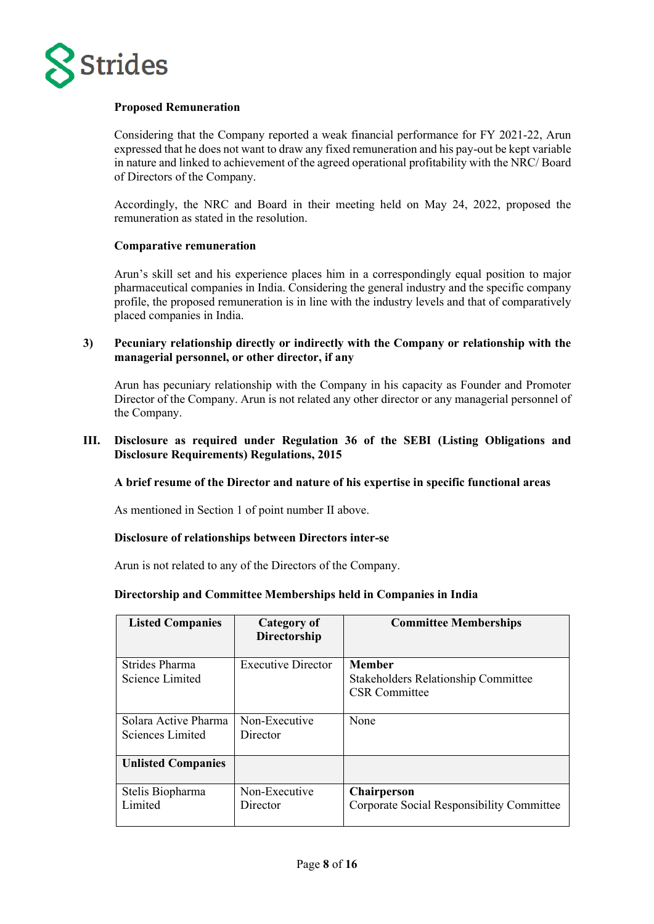

# **Proposed Remuneration**

Considering that the Company reported a weak financial performance for FY 2021-22, Arun expressed that he does not want to draw any fixed remuneration and his pay-out be kept variable in nature and linked to achievement of the agreed operational profitability with the NRC/ Board of Directors of the Company.

Accordingly, the NRC and Board in their meeting held on May 24, 2022, proposed the remuneration as stated in the resolution.

# **Comparative remuneration**

Arun's skill set and his experience places him in a correspondingly equal position to major pharmaceutical companies in India. Considering the general industry and the specific company profile, the proposed remuneration is in line with the industry levels and that of comparatively placed companies in India.

**3) Pecuniary relationship directly or indirectly with the Company or relationship with the managerial personnel, or other director, if any**

Arun has pecuniary relationship with the Company in his capacity as Founder and Promoter Director of the Company. Arun is not related any other director or any managerial personnel of the Company.

# **III. Disclosure as required under Regulation 36 of the SEBI (Listing Obligations and Disclosure Requirements) Regulations, 2015**

### **A brief resume of the Director and nature of his expertise in specific functional areas**

As mentioned in Section 1 of point number II above.

### **Disclosure of relationships between Directors inter-se**

Arun is not related to any of the Directors of the Company.

### **Directorship and Committee Memberships held in Companies in India**

| <b>Listed Companies</b>                  | Category of<br><b>Directorship</b> | <b>Committee Memberships</b>                                                        |
|------------------------------------------|------------------------------------|-------------------------------------------------------------------------------------|
| Strides Pharma<br>Science Limited        | <b>Executive Director</b>          | <b>Member</b><br><b>Stakeholders Relationship Committee</b><br><b>CSR</b> Committee |
| Solara Active Pharma<br>Sciences Limited | Non-Executive<br>Director          | None                                                                                |
| <b>Unlisted Companies</b>                |                                    |                                                                                     |
| Stelis Biopharma<br>Limited              | Non-Executive<br>Director          | <b>Chairperson</b><br>Corporate Social Responsibility Committee                     |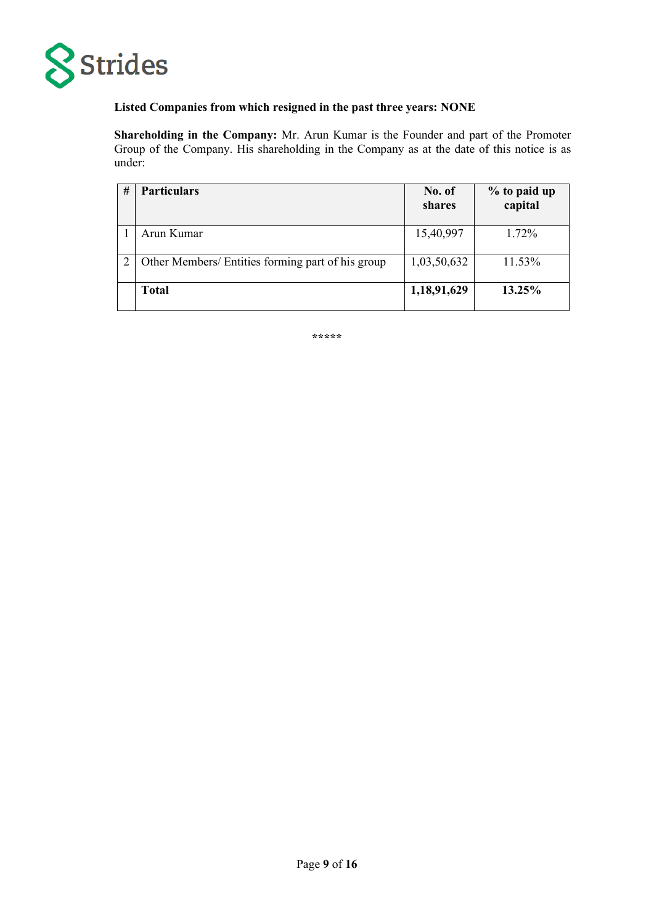

# **Listed Companies from which resigned in the past three years: NONE**

**Shareholding in the Company:** Mr. Arun Kumar is the Founder and part of the Promoter Group of the Company. His shareholding in the Company as at the date of this notice is as under:

| # | <b>Particulars</b>                                | No. of<br>shares | % to paid up<br>capital |
|---|---------------------------------------------------|------------------|-------------------------|
|   | Arun Kumar                                        | 15,40,997        | $1.72\%$                |
|   | Other Members/ Entities forming part of his group | 1,03,50,632      | 11.53%                  |
|   | <b>Total</b>                                      | 1,18,91,629      | 13.25%                  |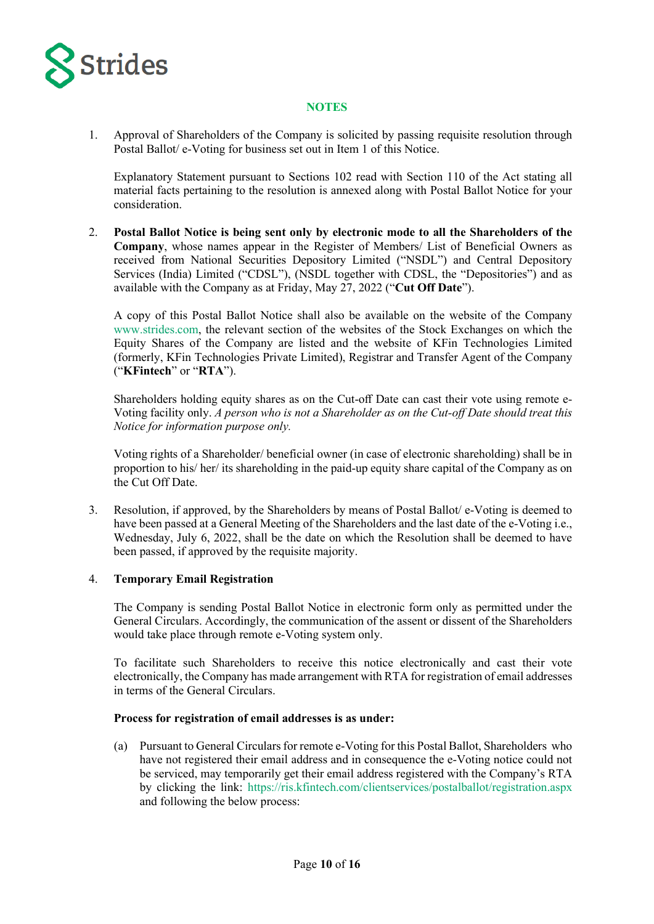

# **NOTES**

1. Approval of Shareholders of the Company is solicited by passing requisite resolution through Postal Ballot/ e-Voting for business set out in Item 1 of this Notice.

Explanatory Statement pursuant to Sections 102 read with Section 110 of the Act stating all material facts pertaining to the resolution is annexed along with Postal Ballot Notice for your consideration.

2. **Postal Ballot Notice is being sent only by electronic mode to all the Shareholders of the Company**, whose names appear in the Register of Members/ List of Beneficial Owners as received from National Securities Depository Limited ("NSDL") and Central Depository Services (India) Limited ("CDSL"), (NSDL together with CDSL, the "Depositories") and as available with the Company as at Friday, May 27, 2022 ("**Cut Off Date**").

A copy of this Postal Ballot Notice shall also be available on the website of the Company www.strides.com, the relevant section of the websites of the Stock Exchanges on which the Equity Shares of the Company are listed and the website of KFin Technologies Limited (formerly, KFin Technologies Private Limited), Registrar and Transfer Agent of the Company ("**KFintech**" or "**RTA**").

Shareholders holding equity shares as on the Cut-off Date can cast their vote using remote e-Voting facility only. *A person who is not a Shareholder as on the Cut-off Date should treat this Notice for information purpose only.*

Voting rights of a Shareholder/ beneficial owner (in case of electronic shareholding) shall be in proportion to his/ her/ its shareholding in the paid-up equity share capital of the Company as on the Cut Off Date.

3. Resolution, if approved, by the Shareholders by means of Postal Ballot/ e-Voting is deemed to have been passed at a General Meeting of the Shareholders and the last date of the e-Voting i.e., Wednesday, July 6, 2022, shall be the date on which the Resolution shall be deemed to have been passed, if approved by the requisite majority.

### 4. **Temporary Email Registration**

The Company is sending Postal Ballot Notice in electronic form only as permitted under the General Circulars. Accordingly, the communication of the assent or dissent of the Shareholders would take place through remote e-Voting system only.

To facilitate such Shareholders to receive this notice electronically and cast their vote electronically, the Company has made arrangement with RTA for registration of email addresses in terms of the General Circulars.

### **Process for registration of email addresses is as under:**

(a) Pursuant to General Circulars for remote e-Voting for this Postal Ballot, Shareholders who have not registered their email address and in consequence the e-Voting notice could not be serviced, may temporarily get their email address registered with the Company's RTA by clicking the link:<https://ris.kfintech.com/clientservices/postalballot/registration.aspx> and following the below process: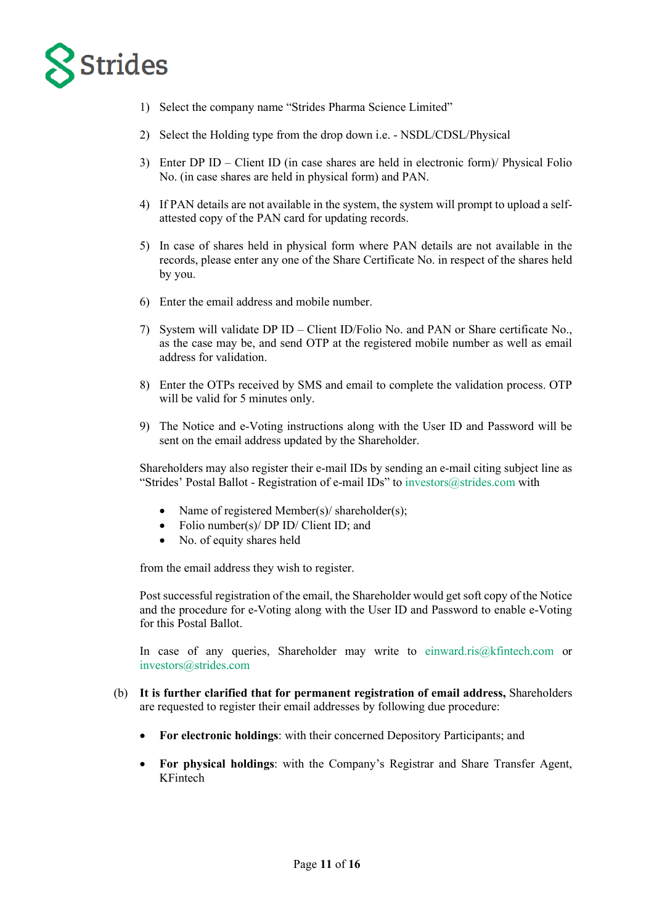

- 1) Select the company name "Strides Pharma Science Limited"
- 2) Select the Holding type from the drop down i.e. NSDL/CDSL/Physical
- 3) Enter DP ID Client ID (in case shares are held in electronic form)/ Physical Folio No. (in case shares are held in physical form) and PAN.
- 4) If PAN details are not available in the system, the system will prompt to upload a selfattested copy of the PAN card for updating records.
- 5) In case of shares held in physical form where PAN details are not available in the records, please enter any one of the Share Certificate No. in respect of the shares held by you.
- 6) Enter the email address and mobile number.
- 7) System will validate DP ID Client ID/Folio No. and PAN or Share certificate No., as the case may be, and send OTP at the registered mobile number as well as email address for validation.
- 8) Enter the OTPs received by SMS and email to complete the validation process. OTP will be valid for 5 minutes only.
- 9) The Notice and e-Voting instructions along with the User ID and Password will be sent on the email address updated by the Shareholder.

Shareholders may also register their e-mail IDs by sending an e-mail citing subject line as "Strides' Postal Ballot - Registration of e-mail IDs" to [investors@strides.com](mailto:investors@strides.com) with

- Name of registered Member(s)/ shareholder(s);
- Folio number(s)/ DP ID/ Client ID; and
- No. of equity shares held

from the email address they wish to register.

Post successful registration of the email, the Shareholder would get soft copy of the Notice and the procedure for e-Voting along with the User ID and Password to enable e-Voting for this Postal Ballot.

In case of any queries, Shareholder may write to [einward.ris@kfintech.com](mailto:einward.ris@kfintech.com) or [investors@strides.com](mailto:investors@strides.com)

- (b) **It is further clarified that for permanent registration of email address,** Shareholders are requested to register their email addresses by following due procedure:
	- **For electronic holdings**: with their concerned Depository Participants; and
	- **For physical holdings**: with the Company's Registrar and Share Transfer Agent, KFintech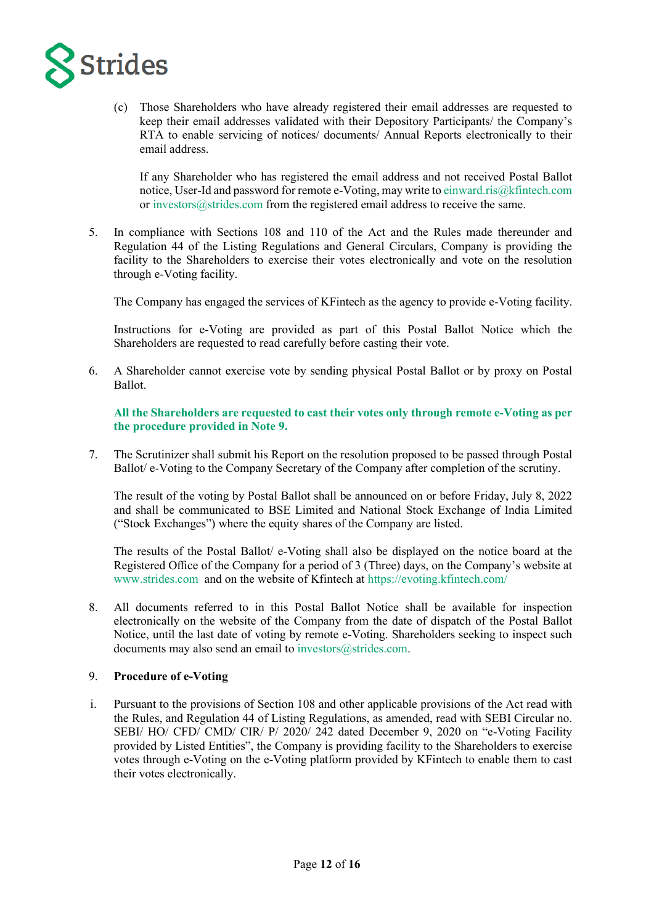

(c) Those Shareholders who have already registered their email addresses are requested to keep their email addresses validated with their Depository Participants/ the Company's RTA to enable servicing of notices/ documents/ Annual Reports electronically to their email address.

If any Shareholder who has registered the email address and not received Postal Ballot notice, User-Id and password for remote e-Voting, may write t[o einward.ris@kfintech.com](mailto:einward.ris@kfintech.com) or [investors@strides.com](mailto:investors@strides.com) from the registered email address to receive the same.

5. In compliance with Sections 108 and 110 of the Act and the Rules made thereunder and Regulation 44 of the Listing Regulations and General Circulars, Company is providing the facility to the Shareholders to exercise their votes electronically and vote on the resolution through e-Voting facility.

The Company has engaged the services of KFintech as the agency to provide e-Voting facility.

Instructions for e-Voting are provided as part of this Postal Ballot Notice which the Shareholders are requested to read carefully before casting their vote.

6. A Shareholder cannot exercise vote by sending physical Postal Ballot or by proxy on Postal Ballot.

**All the Shareholders are requested to cast their votes only through remote e-Voting as per the procedure provided in Note 9.**

7. The Scrutinizer shall submit his Report on the resolution proposed to be passed through Postal Ballot/ e-Voting to the Company Secretary of the Company after completion of the scrutiny.

The result of the voting by Postal Ballot shall be announced on or before Friday, July 8, 2022 and shall be communicated to BSE Limited and National Stock Exchange of India Limited ("Stock Exchanges") where the equity shares of the Company are listed.

The results of the Postal Ballot/ e-Voting shall also be displayed on the notice board at the Registered Office of the Company for a period of 3 (Three) days, on the Company's website at [www.strides.com](http://www.strides.com/) and on the website of Kfintech at <https://evoting.kfintech.com/>

8. All documents referred to in this Postal Ballot Notice shall be available for inspection electronically on the website of the Company from the date of dispatch of the Postal Ballot Notice, until the last date of voting by remote e-Voting. Shareholders seeking to inspect such documents may also send an email t[o investors@strides.com.](mailto:investors@strides.com)

# 9. **Procedure of e-Voting**

i. Pursuant to the provisions of Section 108 and other applicable provisions of the Act read with the Rules, and Regulation 44 of Listing Regulations, as amended, read with SEBI Circular no. SEBI/ HO/ CFD/ CMD/ CIR/ P/ 2020/ 242 dated December 9, 2020 on "e-Voting Facility provided by Listed Entities", the Company is providing facility to the Shareholders to exercise votes through e-Voting on the e-Voting platform provided by KFintech to enable them to cast their votes electronically.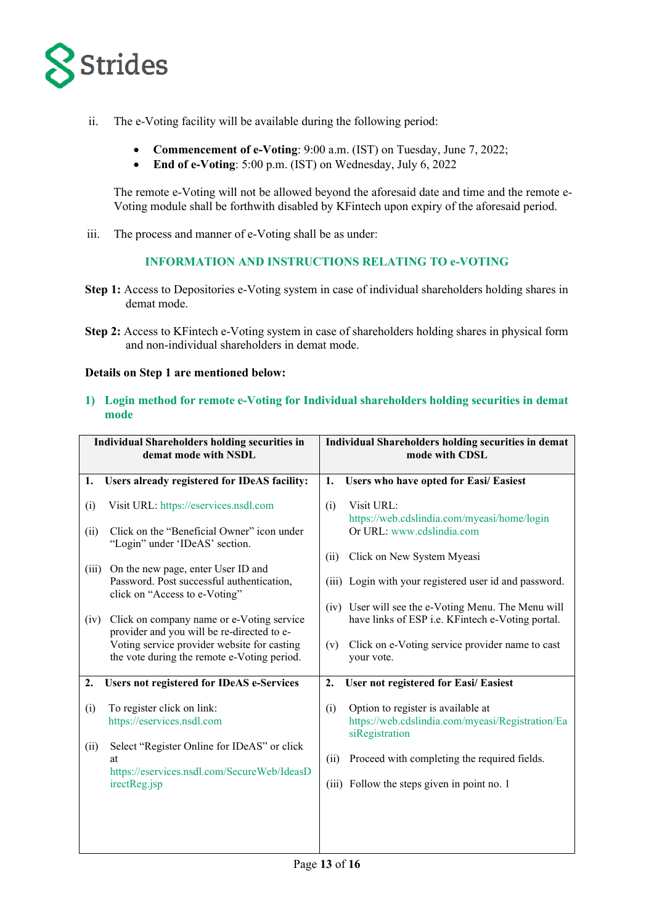

- ii. The e-Voting facility will be available during the following period:
	- **Commencement of e-Voting**: 9:00 a.m. (IST) on Tuesday, June 7, 2022;
	- **End of e-Voting**: 5:00 p.m. (IST) on Wednesday, July 6, 2022

The remote e-Voting will not be allowed beyond the aforesaid date and time and the remote e-Voting module shall be forthwith disabled by KFintech upon expiry of the aforesaid period.

iii. The process and manner of e-Voting shall be as under:

# **INFORMATION AND INSTRUCTIONS RELATING TO e-VOTING**

- **Step 1:** Access to Depositories e-Voting system in case of individual shareholders holding shares in demat mode.
- **Step 2:** Access to KFintech e-Voting system in case of shareholders holding shares in physical form and non-individual shareholders in demat mode.

# **Details on Step 1 are mentioned below:**

**1) Login method for remote e-Voting for Individual shareholders holding securities in demat mode**

|       | <b>Individual Shareholders holding securities in</b><br>demat mode with NSDL                     |                  | Individual Shareholders holding securities in demat<br>mode with CDSL                                    |
|-------|--------------------------------------------------------------------------------------------------|------------------|----------------------------------------------------------------------------------------------------------|
| 1.    | Users already registered for IDeAS facility:                                                     | 1.               | Users who have opted for Easi/ Easiest                                                                   |
| (i)   | Visit URL: https://eservices.nsdl.com                                                            | (i)              | Visit URL:<br>https://web.cdslindia.com/myeasi/home/login                                                |
| (ii)  | Click on the "Beneficial Owner" icon under<br>"Login" under 'IDeAS' section.                     |                  | Or URL: www.cdslindia.com                                                                                |
| (iii) | On the new page, enter User ID and                                                               | (ii)             | Click on New System Myeasi                                                                               |
|       | Password. Post successful authentication,<br>click on "Access to e-Voting"                       |                  | (iii) Login with your registered user id and password.                                                   |
| (iv)  | Click on company name or e-Voting service<br>provider and you will be re-directed to e-          |                  | (iv) User will see the e-Voting Menu. The Menu will<br>have links of ESP i.e. KFintech e-Voting portal.  |
|       | Voting service provider website for casting<br>the vote during the remote e-Voting period.       | (v)              | Click on e-Voting service provider name to cast<br>your vote.                                            |
| 2.    | <b>Users not registered for IDeAS e-Services</b>                                                 | $\overline{2}$ . | User not registered for Easi/ Easiest                                                                    |
| (i)   | To register click on link:<br>https://eservices.nsdl.com                                         | (i)              | Option to register is available at<br>https://web.cdslindia.com/myeasi/Registration/Ea<br>siRegistration |
| (ii)  | Select "Register Online for IDeAS" or click<br>at<br>https://eservices.nsdl.com/SecureWeb/IdeasD | (ii)             | Proceed with completing the required fields.                                                             |
|       | irectReg.jsp                                                                                     |                  | (iii) Follow the steps given in point no. 1                                                              |
|       |                                                                                                  |                  |                                                                                                          |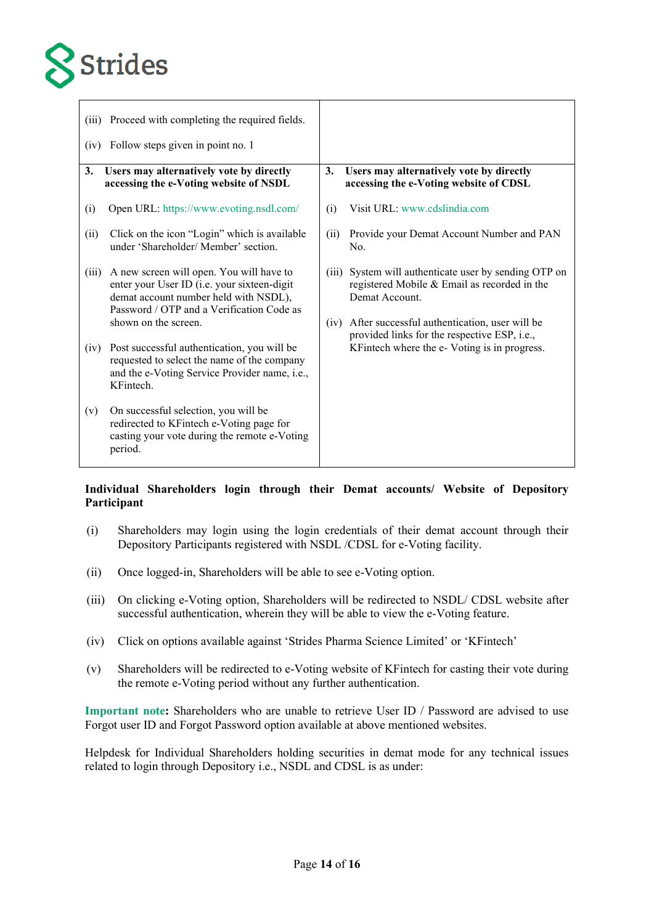

| (iii)<br>(iv) | Proceed with completing the required fields.<br>Follow steps given in point no. 1                                                                                                                     |               |                                                                                                                                                                                                                    |
|---------------|-------------------------------------------------------------------------------------------------------------------------------------------------------------------------------------------------------|---------------|--------------------------------------------------------------------------------------------------------------------------------------------------------------------------------------------------------------------|
| 3.            | Users may alternatively vote by directly<br>accessing the e-Voting website of NSDL                                                                                                                    | 3.            | Users may alternatively vote by directly<br>accessing the e-Voting website of CDSL                                                                                                                                 |
| (i)           | Open URL: https://www.evoting.nsdl.com/                                                                                                                                                               | (i)           | Visit URL: www.cdslindia.com                                                                                                                                                                                       |
| (ii)          | Click on the icon "Login" which is available<br>under 'Shareholder/ Member' section.                                                                                                                  | (ii)          | Provide your Demat Account Number and PAN<br>No.                                                                                                                                                                   |
| (iii)         | A new screen will open. You will have to<br>enter your User ID (i.e. your sixteen-digit<br>demat account number held with NSDL),<br>Password / OTP and a Verification Code as<br>shown on the screen. | (iii)<br>(iv) | System will authenticate user by sending OTP on<br>registered Mobile & Email as recorded in the<br>Demat Account.<br>After successful authentication, user will be<br>provided links for the respective ESP, i.e., |
| (iv)          | Post successful authentication, you will be<br>requested to select the name of the company<br>and the e-Voting Service Provider name, i.e.,<br>KFintech.                                              |               | KFintech where the e- Voting is in progress.                                                                                                                                                                       |
| (v)           | On successful selection, you will be<br>redirected to KFintech e-Voting page for<br>casting your vote during the remote e-Voting<br>period.                                                           |               |                                                                                                                                                                                                                    |

# **Individual Shareholders login through their Demat accounts/ Website of Depository Participant**

- (i) Shareholders may login using the login credentials of their demat account through their Depository Participants registered with NSDL /CDSL for e-Voting facility.
- (ii) Once logged-in, Shareholders will be able to see e-Voting option.
- (iii) On clicking e-Voting option, Shareholders will be redirected to NSDL/ CDSL website after successful authentication, wherein they will be able to view the e-Voting feature.
- (iv) Click on options available against 'Strides Pharma Science Limited' or 'KFintech'
- (v) Shareholders will be redirected to e-Voting website of KFintech for casting their vote during the remote e-Voting period without any further authentication.

**Important note:** Shareholders who are unable to retrieve User ID / Password are advised to use Forgot user ID and Forgot Password option available at above mentioned websites.

Helpdesk for Individual Shareholders holding securities in demat mode for any technical issues related to login through Depository i.e., NSDL and CDSL is as under: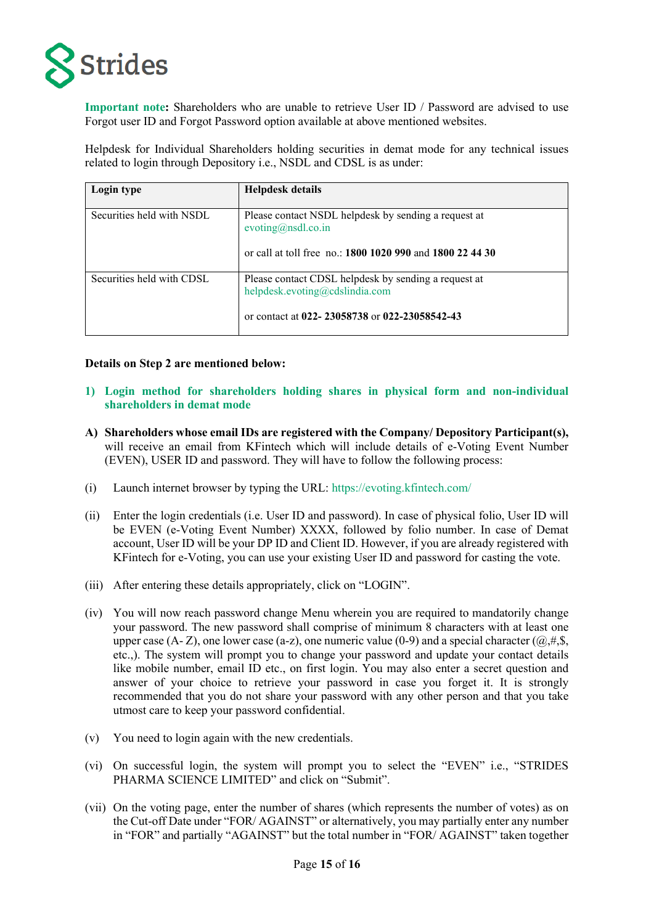

**Important note:** Shareholders who are unable to retrieve User ID / Password are advised to use Forgot user ID and Forgot Password option available at above mentioned websites.

Helpdesk for Individual Shareholders holding securities in demat mode for any technical issues related to login through Depository i.e., NSDL and CDSL is as under:

| Login type                | Helpdesk details                                                                                                                        |
|---------------------------|-----------------------------------------------------------------------------------------------------------------------------------------|
| Securities held with NSDL | Please contact NSDL helpdesk by sending a request at<br>evoting@nsdl.co.in<br>or call at toll free no.: 1800 1020 990 and 1800 22 44 30 |
| Securities held with CDSL | Please contact CDSL helpdesk by sending a request at<br>helpdesk.evoting@cdslindia.com<br>or contact at 022-23058738 or 022-23058542-43 |

#### **Details on Step 2 are mentioned below:**

- **1) Login method for shareholders holding shares in physical form and non-individual shareholders in demat mode**
- **A) Shareholders whose email IDs are registered with the Company/ Depository Participant(s),** will receive an email from KFintech which will include details of e-Voting Event Number (EVEN), USER ID and password. They will have to follow the following process:
- (i) Launch internet browser by typing the URL:<https://evoting.kfintech.com/>
- (ii) Enter the login credentials (i.e. User ID and password). In case of physical folio, User ID will be EVEN (e-Voting Event Number) XXXX, followed by folio number. In case of Demat account, User ID will be your DP ID and Client ID. However, if you are already registered with KFintech for e-Voting, you can use your existing User ID and password for casting the vote.
- (iii) After entering these details appropriately, click on "LOGIN".
- (iv) You will now reach password change Menu wherein you are required to mandatorily change your password. The new password shall comprise of minimum 8 characters with at least one upper case (A- Z), one lower case (a-z), one numeric value (0-9) and a special character ( $(\hat{\omega}, \#, \hat{\mathbb{S}}, \hat{\mathbb{S}})$ etc.,). The system will prompt you to change your password and update your contact details like mobile number, email ID etc., on first login. You may also enter a secret question and answer of your choice to retrieve your password in case you forget it. It is strongly recommended that you do not share your password with any other person and that you take utmost care to keep your password confidential.
- (v) You need to login again with the new credentials.
- (vi) On successful login, the system will prompt you to select the "EVEN" i.e., "STRIDES PHARMA SCIENCE LIMITED" and click on "Submit".
- (vii) On the voting page, enter the number of shares (which represents the number of votes) as on the Cut-off Date under "FOR/ AGAINST" or alternatively, you may partially enter any number in "FOR" and partially "AGAINST" but the total number in "FOR/ AGAINST" taken together